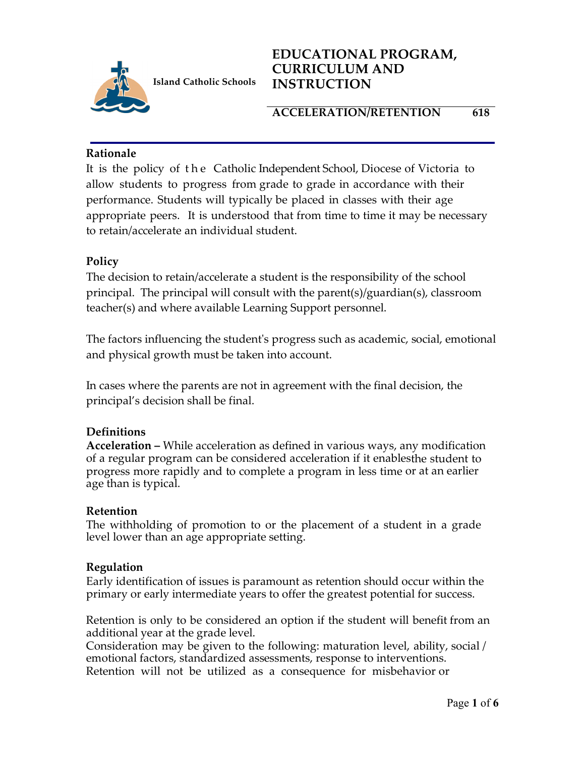

## **ACCELERATION/RETENTION 618**

## **Rationale**

It is the policy of the Catholic Independent School, Diocese of Victoria to allow students to progress from grade to grade in accordance with their performance. Students will typically be placed in classes with their age appropriate peers. It is understood that from time to time it may be necessary to retain/accelerate an individual student.

## **Policy**

The decision to retain/accelerate a student is the responsibility of the school principal. The principal will consult with the parent(s)/guardian(s), classroom teacher(s) and where available Learning Support personnel.

The factors influencing the student's progress such as academic, social, emotional and physical growth must be taken into account.

In cases where the parents are not in agreement with the final decision, the principal's decision shall be final.

## **Definitions**

**Acceleration –** While acceleration as defined in various ways, any modification of a regular program can be considered acceleration if it enablesthe student to progress more rapidly and to complete a program in less time or at an earlier age than is typical.

## **Retention**

The withholding of promotion to or the placement of a student in a grade level lower than an age appropriate setting.

## **Regulation**

Early identification of issues is paramount as retention should occur within the primary or early intermediate years to offer the greatest potential for success.

Retention is only to be considered an option if the student will benefit from an additional year at the grade level.

Consideration may be given to the following: maturation level, ability, social / emotional factors, standardized assessments, response to interventions. Retention will not be utilized as a consequence for misbehavior or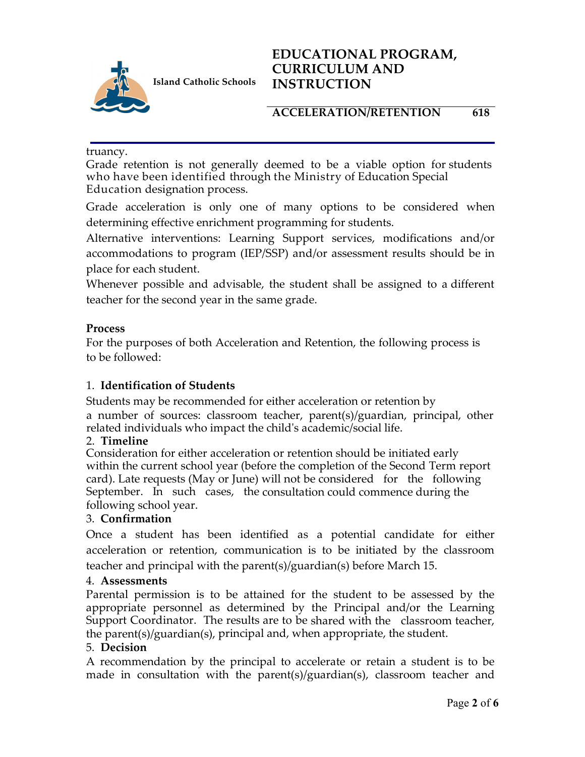

# **ACCELERATION/RETENTION 618**

truancy.

Grade retention is not generally deemed to be a viable option for students who have been identified through the Ministry of Education Special Education designation process.

Grade acceleration is only one of many options to be considered when determining effective enrichment programming for students.

Alternative interventions: Learning Support services, modifications and/or accommodations to program (IEP/SSP) and/or assessment results should be in place for each student.

Whenever possible and advisable, the student shall be assigned to a different teacher for the second year in the same grade.

## **Process**

For the purposes of both Acceleration and Retention, the following process is to be followed:

## 1. **Identification of Students**

Students may be recommended for either acceleration or retention by a number of sources: classroom teacher, parent(s)/guardian, principal, other related individuals who impact the child's academic/social life.

## 2. **Timeline**

Consideration for either acceleration or retention should be initiated early within the current school year (before the completion of the Second Term report card). Late requests (May or June) will not be considered for the following September. In such cases, the consultation could commence during the following school year.

## 3. **Confirmation**

Once a student has been identified as a potential candidate for either acceleration or retention, communication is to be initiated by the classroom teacher and principal with the parent(s)/guardian(s) before March 15.

#### 4. **Assessments**

Parental permission is to be attained for the student to be assessed by the appropriate personnel as determined by the Principal and/or the Learning Support Coordinator. The results are to be shared with the classroom teacher, the parent(s)/guardian(s), principal and, when appropriate, the student.

#### 5. **Decision**

A recommendation by the principal to accelerate or retain a student is to be made in consultation with the parent(s)/guardian(s), classroom teacher and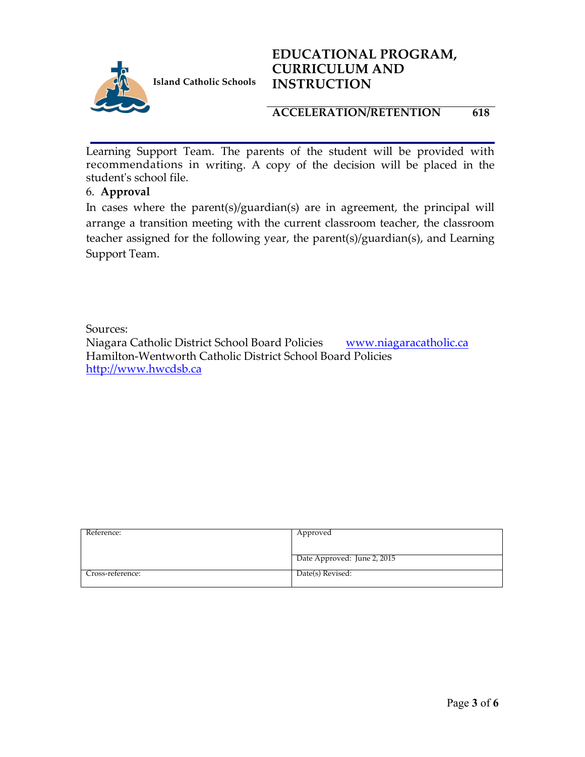

**Island Catholic Schools** 

# **EDUCATIONAL PROGRAM, CURRICULUM AND INSTRUCTION**

## **ACCELERATION/RETENTION 618**

Learning Support Team. The parents of the student will be provided with recommendations in writing. A copy of the decision will be placed in the student's school file.

## 6. **Approval**

In cases where the parent(s)/guardian(s) are in agreement, the principal will arrange a transition meeting with the current classroom teacher, the classroom teacher assigned for the following year, the parent(s)/guardian(s), and Learning Support Team.

Sources:

Niagara Catholic District School Board Policies www.niagaracatholic.ca Hamilton-Wentworth Catholic District School Board Policies http://www.hwcdsb.ca

| Reference:       | Approved                    |
|------------------|-----------------------------|
|                  |                             |
|                  |                             |
|                  | Date Approved: June 2, 2015 |
|                  |                             |
| Cross-reference: | Date(s) Revised:            |
|                  |                             |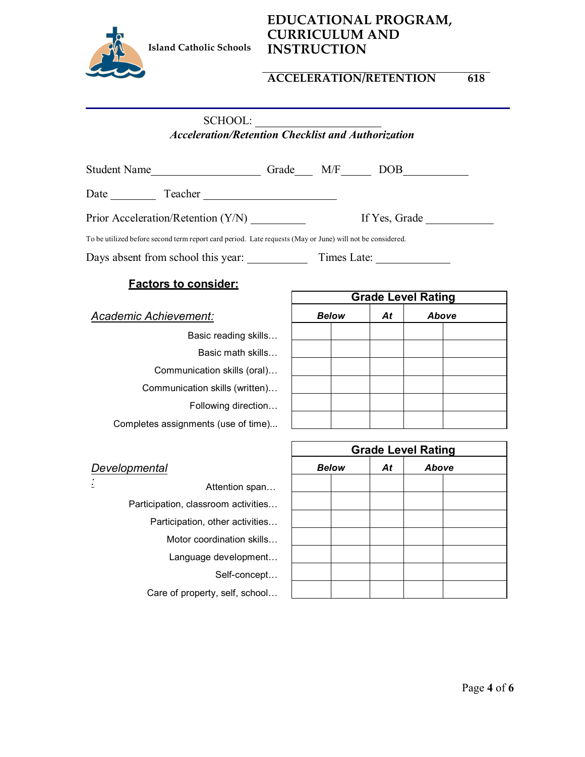

## **ACCELERATION/RETENTION 618**

SCHOOL:

*Acceleration/Retention Checklist and Authorization*

| Student Name                                                                                              | Grade M/F | DOB <sub>1</sub> |
|-----------------------------------------------------------------------------------------------------------|-----------|------------------|
| Date Teacher                                                                                              |           |                  |
| Prior Acceleration/Retention (Y/N)                                                                        |           | If Yes, Grade    |
| To be utilized before second term report card period. Late requests (May or June) will not be considered. |           |                  |
| Days absent from school this year:                                                                        |           | Times Late:      |
|                                                                                                           |           |                  |

#### **Factors to consider:**

*Academic Achievement:*

Basic reading skills… Basic math skills… Communication skills (oral)… Communication skills (written)… Following direction… Completes assignments (use of time)...

| <b>Grade Level Rating</b> |  |    |       |  |
|---------------------------|--|----|-------|--|
| <b>Below</b>              |  | At | Above |  |
|                           |  |    |       |  |
|                           |  |    |       |  |
|                           |  |    |       |  |
|                           |  |    |       |  |
|                           |  |    |       |  |
|                           |  |    |       |  |

|                                     | <b>Grade Level Rating</b> |  |       |  |
|-------------------------------------|---------------------------|--|-------|--|
| Developmental                       | <b>Below</b><br>At        |  | Above |  |
| Attention span                      |                           |  |       |  |
| Participation, classroom activities |                           |  |       |  |
| Participation, other activities     |                           |  |       |  |
| Motor coordination skills           |                           |  |       |  |
| Language development                |                           |  |       |  |
| Self-concept                        |                           |  |       |  |
| Care of property, self, school      |                           |  |       |  |

 $\Gamma$ 

┑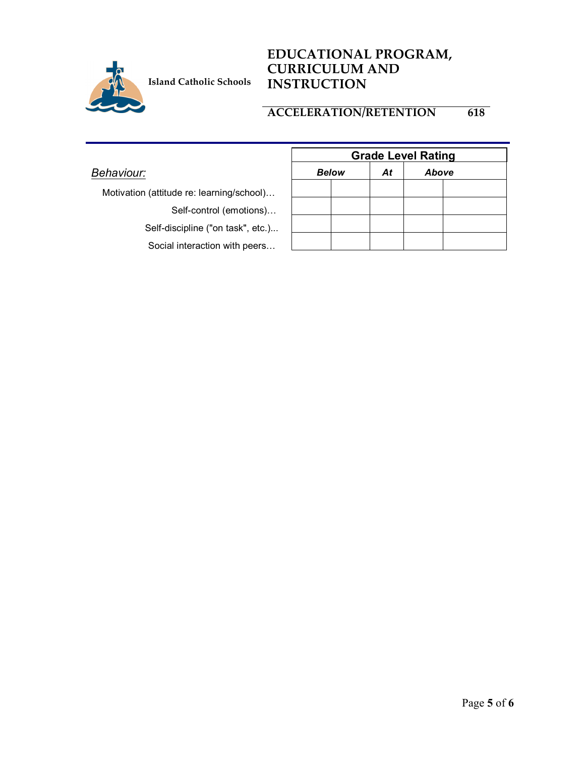

# **ACCELERATION/RETENTION 618**

|                                           | <b>Grade Level Rating</b> |    |       |  |
|-------------------------------------------|---------------------------|----|-------|--|
| Behaviour:                                | <b>Below</b>              | At | Above |  |
| Motivation (attitude re: learning/school) |                           |    |       |  |
| Self-control (emotions)                   |                           |    |       |  |
| Self-discipline ("on task", etc.)         |                           |    |       |  |
| Social interaction with peers             |                           |    |       |  |